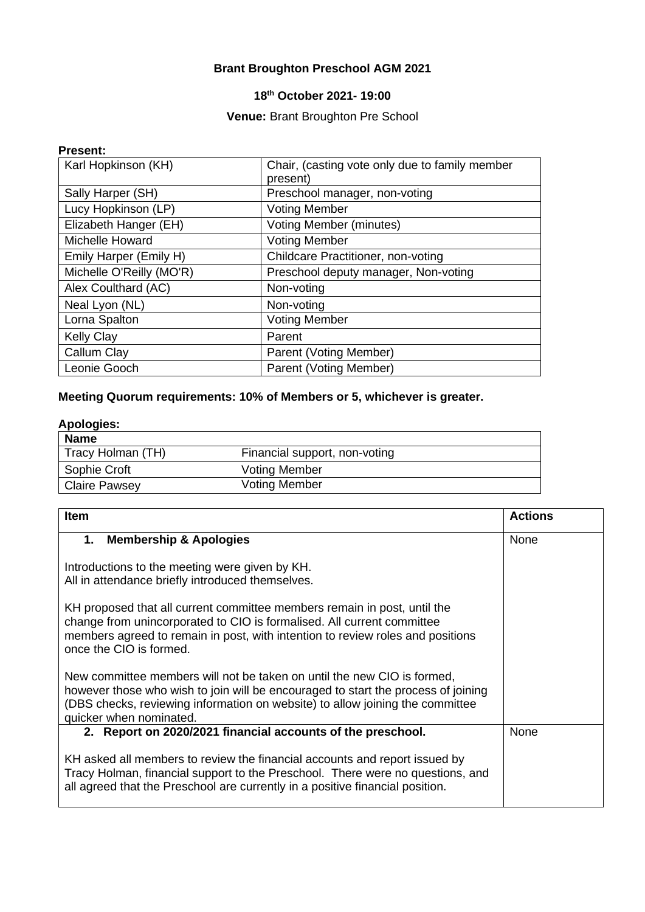## **Brant Broughton Preschool AGM 2021**

## **18th October 2021- 19:00**

### **Venue:** Brant Broughton Pre School

#### **Present:**

| Karl Hopkinson (KH)      | Chair, (casting vote only due to family member<br>present) |
|--------------------------|------------------------------------------------------------|
| Sally Harper (SH)        | Preschool manager, non-voting                              |
| Lucy Hopkinson (LP)      | <b>Voting Member</b>                                       |
| Elizabeth Hanger (EH)    | <b>Voting Member (minutes)</b>                             |
| <b>Michelle Howard</b>   | <b>Voting Member</b>                                       |
| Emily Harper (Emily H)   | <b>Childcare Practitioner, non-voting</b>                  |
| Michelle O'Reilly (MO'R) | Preschool deputy manager, Non-voting                       |
| Alex Coulthard (AC)      | Non-voting                                                 |
| Neal Lyon (NL)           | Non-voting                                                 |
| Lorna Spalton            | <b>Voting Member</b>                                       |
| <b>Kelly Clay</b>        | Parent                                                     |
| Callum Clay              | Parent (Voting Member)                                     |
| Leonie Gooch             | Parent (Voting Member)                                     |

## **Meeting Quorum requirements: 10% of Members or 5, whichever is greater.**

## **Apologies:**

| <b>Name</b>          |                               |
|----------------------|-------------------------------|
| Tracy Holman (TH)    | Financial support, non-voting |
| Sophie Croft         | <b>Voting Member</b>          |
| <b>Claire Pawsey</b> | <b>Voting Member</b>          |

| <b>Item</b>                                                                                                                                                                                                                                                              | <b>Actions</b> |
|--------------------------------------------------------------------------------------------------------------------------------------------------------------------------------------------------------------------------------------------------------------------------|----------------|
| 1.<br><b>Membership &amp; Apologies</b>                                                                                                                                                                                                                                  | None           |
| Introductions to the meeting were given by KH.<br>All in attendance briefly introduced themselves.                                                                                                                                                                       |                |
| KH proposed that all current committee members remain in post, until the<br>change from unincorporated to CIO is formalised. All current committee<br>members agreed to remain in post, with intention to review roles and positions<br>once the CIO is formed.          |                |
| New committee members will not be taken on until the new CIO is formed,<br>however those who wish to join will be encouraged to start the process of joining<br>(DBS checks, reviewing information on website) to allow joining the committee<br>quicker when nominated. |                |
| 2. Report on 2020/2021 financial accounts of the preschool.                                                                                                                                                                                                              | None           |
| KH asked all members to review the financial accounts and report issued by<br>Tracy Holman, financial support to the Preschool. There were no questions, and<br>all agreed that the Preschool are currently in a positive financial position.                            |                |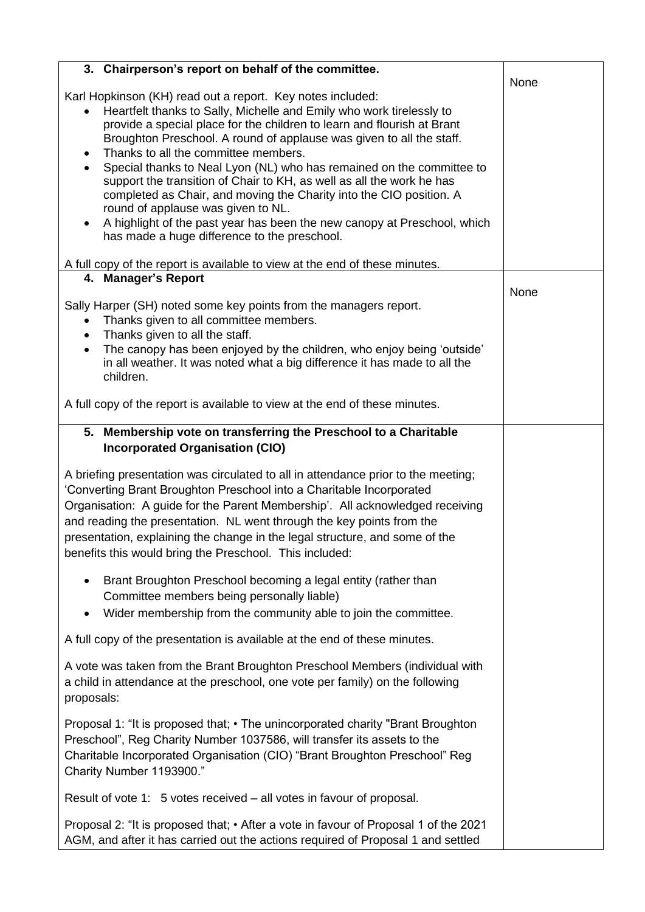| 3. Chairperson's report on behalf of the committee.                                        |      |
|--------------------------------------------------------------------------------------------|------|
| Karl Hopkinson (KH) read out a report. Key notes included:                                 | None |
| Heartfelt thanks to Sally, Michelle and Emily who work tirelessly to                       |      |
| provide a special place for the children to learn and flourish at Brant                    |      |
| Broughton Preschool. A round of applause was given to all the staff.                       |      |
| Thanks to all the committee members.<br>$\bullet$                                          |      |
| Special thanks to Neal Lyon (NL) who has remained on the committee to<br>$\bullet$         |      |
| support the transition of Chair to KH, as well as all the work he has                      |      |
| completed as Chair, and moving the Charity into the CIO position. A                        |      |
| round of applause was given to NL.                                                         |      |
| A highlight of the past year has been the new canopy at Preschool, which<br>$\bullet$      |      |
| has made a huge difference to the preschool.                                               |      |
| A full copy of the report is available to view at the end of these minutes.                |      |
| 4. Manager's Report                                                                        |      |
|                                                                                            | None |
| Sally Harper (SH) noted some key points from the managers report.                          |      |
| Thanks given to all committee members.<br>$\bullet$                                        |      |
| Thanks given to all the staff.<br>$\bullet$                                                |      |
| The canopy has been enjoyed by the children, who enjoy being 'outside'                     |      |
| in all weather. It was noted what a big difference it has made to all the                  |      |
| children.                                                                                  |      |
| A full copy of the report is available to view at the end of these minutes.                |      |
|                                                                                            |      |
| 5. Membership vote on transferring the Preschool to a Charitable                           |      |
| <b>Incorporated Organisation (CIO)</b>                                                     |      |
|                                                                                            |      |
| A briefing presentation was circulated to all in attendance prior to the meeting;          |      |
| 'Converting Brant Broughton Preschool into a Charitable Incorporated                       |      |
| Organisation: A guide for the Parent Membership'. All acknowledged receiving               |      |
| and reading the presentation. NL went through the key points from the                      |      |
| presentation, explaining the change in the legal structure, and some of the                |      |
| benefits this would bring the Preschool. This included:                                    |      |
| Brant Broughton Preschool becoming a legal entity (rather than<br>$\bullet$                |      |
| Committee members being personally liable)                                                 |      |
|                                                                                            |      |
| Wider membership from the community able to join the committee.<br>$\bullet$               |      |
| A full copy of the presentation is available at the end of these minutes.                  |      |
|                                                                                            |      |
| A vote was taken from the Brant Broughton Preschool Members (individual with               |      |
| a child in attendance at the preschool, one vote per family) on the following              |      |
| proposals:                                                                                 |      |
| Proposal 1: "It is proposed that; • The unincorporated charity "Brant Broughton"           |      |
| Preschool", Reg Charity Number 1037586, will transfer its assets to the                    |      |
| Charitable Incorporated Organisation (CIO) "Brant Broughton Preschool" Reg                 |      |
| Charity Number 1193900."                                                                   |      |
|                                                                                            |      |
| Result of vote 1: 5 votes received – all votes in favour of proposal.                      |      |
| Proposal 2: "It is proposed that; $\cdot$ After a vote in favour of Proposal 1 of the 2021 |      |
| AGM, and after it has carried out the actions required of Proposal 1 and settled           |      |